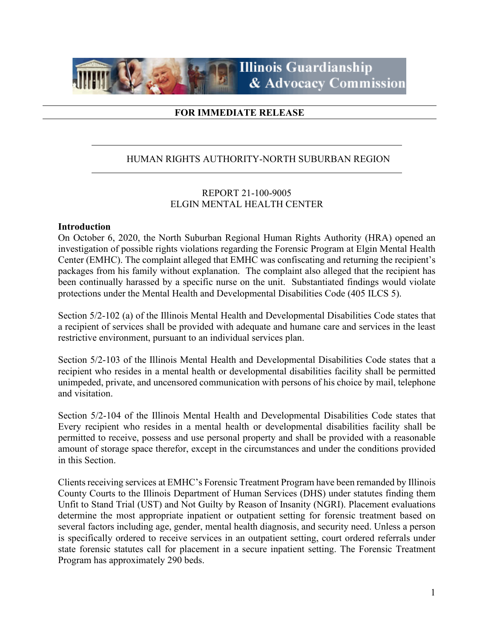

## **FOR IMMEDIATE RELEASE**

## HUMAN RIGHTS AUTHORITY-NORTH SUBURBAN REGION

## REPORT 21-100-9005 ELGIN MENTAL HEALTH CENTER

#### **Introduction**

On October 6, 2020, the North Suburban Regional Human Rights Authority (HRA) opened an investigation of possible rights violations regarding the Forensic Program at Elgin Mental Health Center (EMHC). The complaint alleged that EMHC was confiscating and returning the recipient's packages from his family without explanation. The complaint also alleged that the recipient has been continually harassed by a specific nurse on the unit. Substantiated findings would violate protections under the Mental Health and Developmental Disabilities Code (405 ILCS 5).

Section 5/2-102 (a) of the Illinois Mental Health and Developmental Disabilities Code states that a recipient of services shall be provided with adequate and humane care and services in the least restrictive environment, pursuant to an individual services plan.

Section 5/2-103 of the Illinois Mental Health and Developmental Disabilities Code states that a recipient who resides in a mental health or developmental disabilities facility shall be permitted unimpeded, private, and uncensored communication with persons of his choice by mail, telephone and visitation.

Section 5/2-104 of the Illinois Mental Health and Developmental Disabilities Code states that Every recipient who resides in a mental health or developmental disabilities facility shall be permitted to receive, possess and use personal property and shall be provided with a reasonable amount of storage space therefor, except in the circumstances and under the conditions provided in this Section.

Clients receiving services at EMHC's Forensic Treatment Program have been remanded by Illinois County Courts to the Illinois Department of Human Services (DHS) under statutes finding them Unfit to Stand Trial (UST) and Not Guilty by Reason of Insanity (NGRI). Placement evaluations determine the most appropriate inpatient or outpatient setting for forensic treatment based on several factors including age, gender, mental health diagnosis, and security need. Unless a person is specifically ordered to receive services in an outpatient setting, court ordered referrals under state forensic statutes call for placement in a secure inpatient setting. The Forensic Treatment Program has approximately 290 beds.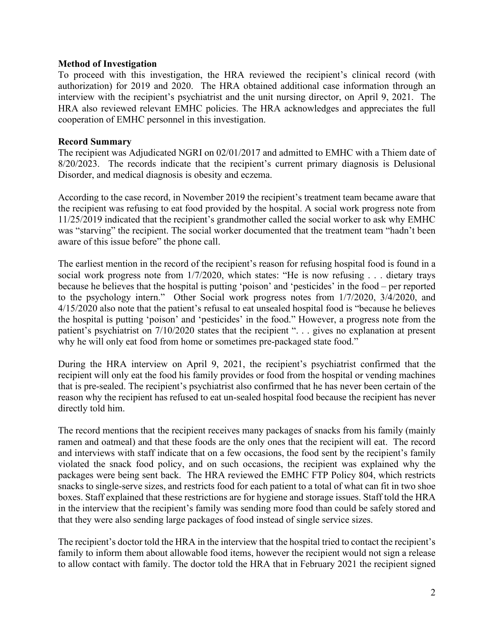### **Method of Investigation**

To proceed with this investigation, the HRA reviewed the recipient's clinical record (with authorization) for 2019 and 2020. The HRA obtained additional case information through an interview with the recipient's psychiatrist and the unit nursing director, on April 9, 2021. The HRA also reviewed relevant EMHC policies. The HRA acknowledges and appreciates the full cooperation of EMHC personnel in this investigation.

### **Record Summary**

The recipient was Adjudicated NGRI on 02/01/2017 and admitted to EMHC with a Thiem date of 8/20/2023. The records indicate that the recipient's current primary diagnosis is Delusional Disorder, and medical diagnosis is obesity and eczema.

According to the case record, in November 2019 the recipient's treatment team became aware that the recipient was refusing to eat food provided by the hospital. A social work progress note from 11/25/2019 indicated that the recipient's grandmother called the social worker to ask why EMHC was "starving" the recipient. The social worker documented that the treatment team "hadn't been aware of this issue before" the phone call.

The earliest mention in the record of the recipient's reason for refusing hospital food is found in a social work progress note from 1/7/2020, which states: "He is now refusing . . . dietary trays because he believes that the hospital is putting 'poison' and 'pesticides' in the food – per reported to the psychology intern." Other Social work progress notes from 1/7/2020, 3/4/2020, and 4/15/2020 also note that the patient's refusal to eat unsealed hospital food is "because he believes the hospital is putting 'poison' and 'pesticides' in the food." However, a progress note from the patient's psychiatrist on 7/10/2020 states that the recipient ". . . gives no explanation at present why he will only eat food from home or sometimes pre-packaged state food."

During the HRA interview on April 9, 2021, the recipient's psychiatrist confirmed that the recipient will only eat the food his family provides or food from the hospital or vending machines that is pre-sealed. The recipient's psychiatrist also confirmed that he has never been certain of the reason why the recipient has refused to eat un-sealed hospital food because the recipient has never directly told him.

The record mentions that the recipient receives many packages of snacks from his family (mainly ramen and oatmeal) and that these foods are the only ones that the recipient will eat. The record and interviews with staff indicate that on a few occasions, the food sent by the recipient's family violated the snack food policy, and on such occasions, the recipient was explained why the packages were being sent back. The HRA reviewed the EMHC FTP Policy 804, which restricts snacks to single-serve sizes, and restricts food for each patient to a total of what can fit in two shoe boxes. Staff explained that these restrictions are for hygiene and storage issues. Staff told the HRA in the interview that the recipient's family was sending more food than could be safely stored and that they were also sending large packages of food instead of single service sizes.

The recipient's doctor told the HRA in the interview that the hospital tried to contact the recipient's family to inform them about allowable food items, however the recipient would not sign a release to allow contact with family. The doctor told the HRA that in February 2021 the recipient signed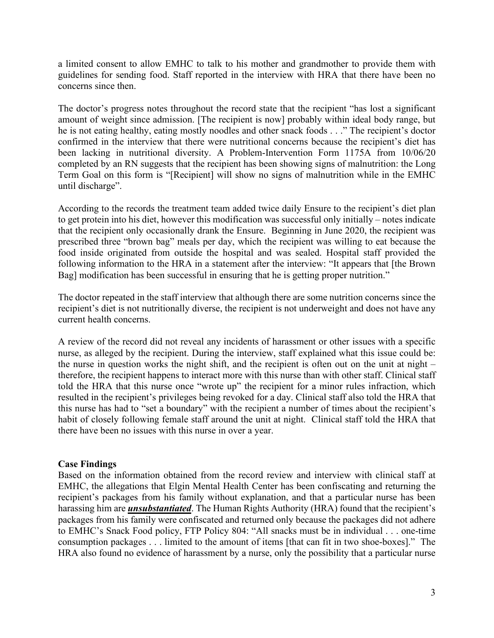a limited consent to allow EMHC to talk to his mother and grandmother to provide them with guidelines for sending food. Staff reported in the interview with HRA that there have been no concerns since then.

The doctor's progress notes throughout the record state that the recipient "has lost a significant amount of weight since admission. [The recipient is now] probably within ideal body range, but he is not eating healthy, eating mostly noodles and other snack foods . . ." The recipient's doctor confirmed in the interview that there were nutritional concerns because the recipient's diet has been lacking in nutritional diversity. A Problem-Intervention Form 1175A from 10/06/20 completed by an RN suggests that the recipient has been showing signs of malnutrition: the Long Term Goal on this form is "[Recipient] will show no signs of malnutrition while in the EMHC until discharge".

According to the records the treatment team added twice daily Ensure to the recipient's diet plan to get protein into his diet, however this modification was successful only initially – notes indicate that the recipient only occasionally drank the Ensure. Beginning in June 2020, the recipient was prescribed three "brown bag" meals per day, which the recipient was willing to eat because the food inside originated from outside the hospital and was sealed. Hospital staff provided the following information to the HRA in a statement after the interview: "It appears that [the Brown Bag] modification has been successful in ensuring that he is getting proper nutrition."

The doctor repeated in the staff interview that although there are some nutrition concerns since the recipient's diet is not nutritionally diverse, the recipient is not underweight and does not have any current health concerns.

A review of the record did not reveal any incidents of harassment or other issues with a specific nurse, as alleged by the recipient. During the interview, staff explained what this issue could be: the nurse in question works the night shift, and the recipient is often out on the unit at night – therefore, the recipient happens to interact more with this nurse than with other staff. Clinical staff told the HRA that this nurse once "wrote up" the recipient for a minor rules infraction, which resulted in the recipient's privileges being revoked for a day. Clinical staff also told the HRA that this nurse has had to "set a boundary" with the recipient a number of times about the recipient's habit of closely following female staff around the unit at night. Clinical staff told the HRA that there have been no issues with this nurse in over a year.

#### **Case Findings**

Based on the information obtained from the record review and interview with clinical staff at EMHC, the allegations that Elgin Mental Health Center has been confiscating and returning the recipient's packages from his family without explanation, and that a particular nurse has been harassing him are *unsubstantiated*. The Human Rights Authority (HRA) found that the recipient's packages from his family were confiscated and returned only because the packages did not adhere to EMHC's Snack Food policy, FTP Policy 804: "All snacks must be in individual . . . one-time consumption packages . . . limited to the amount of items [that can fit in two shoe-boxes]." The HRA also found no evidence of harassment by a nurse, only the possibility that a particular nurse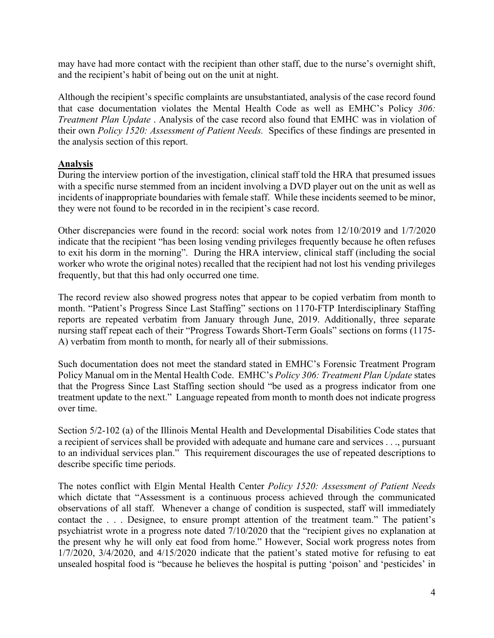may have had more contact with the recipient than other staff, due to the nurse's overnight shift, and the recipient's habit of being out on the unit at night.

Although the recipient's specific complaints are unsubstantiated, analysis of the case record found that case documentation violates the Mental Health Code as well as EMHC's Policy *306: Treatment Plan Update* . Analysis of the case record also found that EMHC was in violation of their own *Policy 1520: Assessment of Patient Needs.* Specifics of these findings are presented in the analysis section of this report.

## **Analysis**

During the interview portion of the investigation, clinical staff told the HRA that presumed issues with a specific nurse stemmed from an incident involving a DVD player out on the unit as well as incidents of inappropriate boundaries with female staff. While these incidents seemed to be minor, they were not found to be recorded in in the recipient's case record.

Other discrepancies were found in the record: social work notes from 12/10/2019 and 1/7/2020 indicate that the recipient "has been losing vending privileges frequently because he often refuses to exit his dorm in the morning". During the HRA interview, clinical staff (including the social worker who wrote the original notes) recalled that the recipient had not lost his vending privileges frequently, but that this had only occurred one time.

The record review also showed progress notes that appear to be copied verbatim from month to month. "Patient's Progress Since Last Staffing" sections on 1170-FTP Interdisciplinary Staffing reports are repeated verbatim from January through June, 2019. Additionally, three separate nursing staff repeat each of their "Progress Towards Short-Term Goals" sections on forms (1175- A) verbatim from month to month, for nearly all of their submissions.

Such documentation does not meet the standard stated in EMHC's Forensic Treatment Program Policy Manual om in the Mental Health Code. EMHC's *Policy 306: Treatment Plan Update* states that the Progress Since Last Staffing section should "be used as a progress indicator from one treatment update to the next." Language repeated from month to month does not indicate progress over time.

Section 5/2-102 (a) of the Illinois Mental Health and Developmental Disabilities Code states that a recipient of services shall be provided with adequate and humane care and services . . ., pursuant to an individual services plan." This requirement discourages the use of repeated descriptions to describe specific time periods.

The notes conflict with Elgin Mental Health Center *Policy 1520: Assessment of Patient Needs*  which dictate that "Assessment is a continuous process achieved through the communicated observations of all staff. Whenever a change of condition is suspected, staff will immediately contact the . . . Designee, to ensure prompt attention of the treatment team." The patient's psychiatrist wrote in a progress note dated 7/10/2020 that the "recipient gives no explanation at the present why he will only eat food from home." However, Social work progress notes from 1/7/2020, 3/4/2020, and 4/15/2020 indicate that the patient's stated motive for refusing to eat unsealed hospital food is "because he believes the hospital is putting 'poison' and 'pesticides' in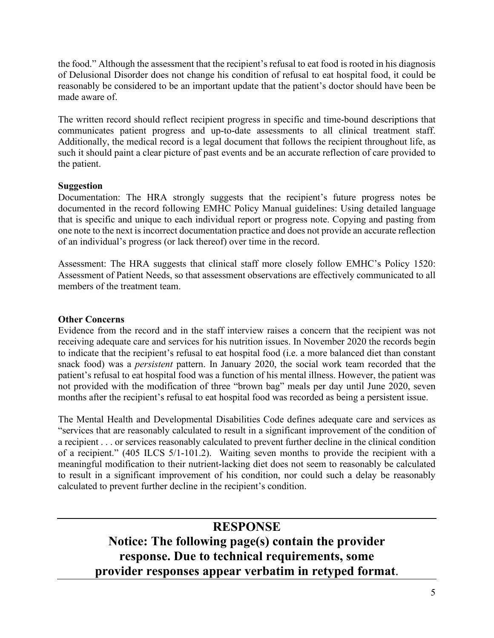the food." Although the assessment that the recipient's refusal to eat food is rooted in his diagnosis of Delusional Disorder does not change his condition of refusal to eat hospital food, it could be reasonably be considered to be an important update that the patient's doctor should have been be made aware of.

The written record should reflect recipient progress in specific and time-bound descriptions that communicates patient progress and up-to-date assessments to all clinical treatment staff. Additionally, the medical record is a legal document that follows the recipient throughout life, as such it should paint a clear picture of past events and be an accurate reflection of care provided to the patient.

## **Suggestion**

Documentation: The HRA strongly suggests that the recipient's future progress notes be documented in the record following EMHC Policy Manual guidelines: Using detailed language that is specific and unique to each individual report or progress note. Copying and pasting from one note to the next is incorrect documentation practice and does not provide an accurate reflection of an individual's progress (or lack thereof) over time in the record.

Assessment: The HRA suggests that clinical staff more closely follow EMHC's Policy 1520: Assessment of Patient Needs, so that assessment observations are effectively communicated to all members of the treatment team.

## **Other Concerns**

Evidence from the record and in the staff interview raises a concern that the recipient was not receiving adequate care and services for his nutrition issues. In November 2020 the records begin to indicate that the recipient's refusal to eat hospital food (i.e. a more balanced diet than constant snack food) was a *persistent* pattern. In January 2020, the social work team recorded that the patient's refusal to eat hospital food was a function of his mental illness. However, the patient was not provided with the modification of three "brown bag" meals per day until June 2020, seven months after the recipient's refusal to eat hospital food was recorded as being a persistent issue.

The Mental Health and Developmental Disabilities Code defines adequate care and services as "services that are reasonably calculated to result in a significant improvement of the condition of a recipient . . . or services reasonably calculated to prevent further decline in the clinical condition of a recipient." (405 ILCS 5/1-101.2). Waiting seven months to provide the recipient with a meaningful modification to their nutrient-lacking diet does not seem to reasonably be calculated to result in a significant improvement of his condition, nor could such a delay be reasonably calculated to prevent further decline in the recipient's condition.

# **RESPONSE**

**Notice: The following page(s) contain the provider response. Due to technical requirements, some provider responses appear verbatim in retyped format**.